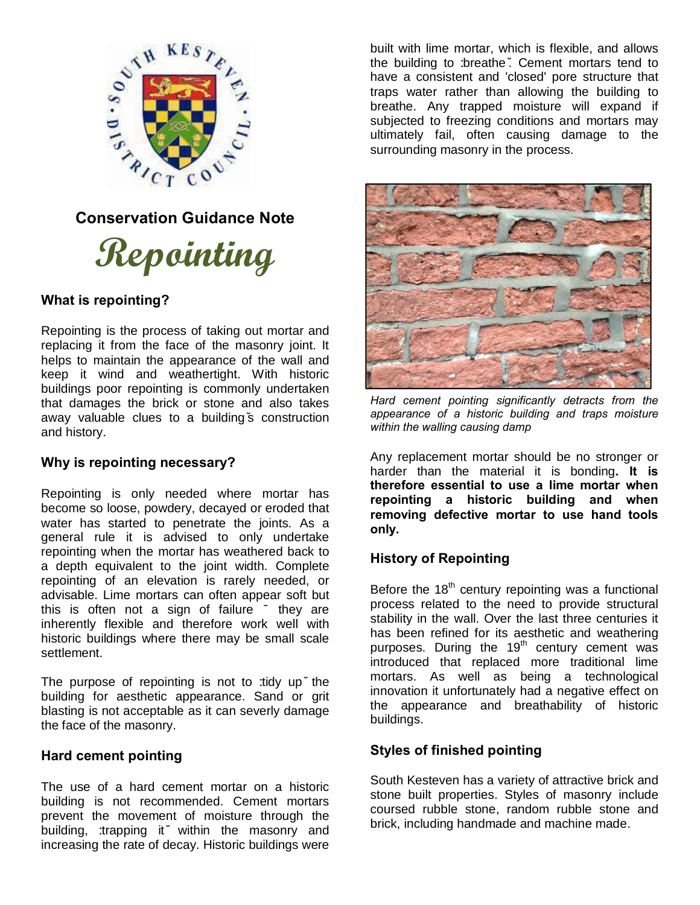

# **Repointing**

# **What is repointing?**

Repointing is the process of taking out mortar and replacing it from the face of the masonry joint. It helps to maintain the appearance of the wall and keep it wind and weathertight. With historic buildings poor repointing is commonly undertaken that damages the brick or stone and also takes away valuable clues to a building's construction and history.

# **Why is repointing necessary?**

Repointing is only needed where mortar has become so loose, powdery, decayed or eroded that water has started to penetrate the joints. As a general rule it is advised to only undertake repointing when the mortar has weathered back to a depth equivalent to the joint width. Complete repointing of an elevation is rarely needed, or advisable. Lime mortars can often appear soft but this is often not a sign of failure – they are inherently flexible and therefore work well with historic buildings where there may be small scale settlement.

The purpose of repointing is not to tridy up the building for aesthetic appearance. Sand or grit blasting is not acceptable as it can severly damage the face of the masonry.

# **Hard cement pointing**

The use of a hard cement mortar on a historic building is not recommended. Cement mortars prevent the movement of moisture through the building, 'trapping it' within the masonry and increasing the rate of decay. Historic buildings were

built with lime mortar, which is flexible, and allows the building to 'breathe'. Cement mortars tend to have a consistent and 'closed' pore structure that traps water rather than allowing the building to breathe. Any trapped moisture will expand if subjected to freezing conditions and mortars may ultimately fail, often causing damage to the surrounding masonry in the process.



*Hard cement pointing significantly detracts from the appearance of a historic building and traps moisture within the walling causing damp* 

Any replacement mortar should be no stronger or harder than the material it is bonding**. It is therefore essential to use a lime mortar when repointing a historic building and when removing defective mortar to use hand tools only.** 

# **History of Repointing**

Before the  $18<sup>th</sup>$  century repointing was a functional process related to the need to provide structural stability in the wall. Over the last three centuries it has been refined for its aesthetic and weathering purposes. During the  $19<sup>th</sup>$  century cement was introduced that replaced more traditional lime mortars. As well as being a technological innovation it unfortunately had a negative effect on the appearance and breathability of historic buildings.

# **Styles of finished pointing**

South Kesteven has a variety of attractive brick and stone built properties. Styles of masonry include coursed rubble stone, random rubble stone and brick, including handmade and machine made.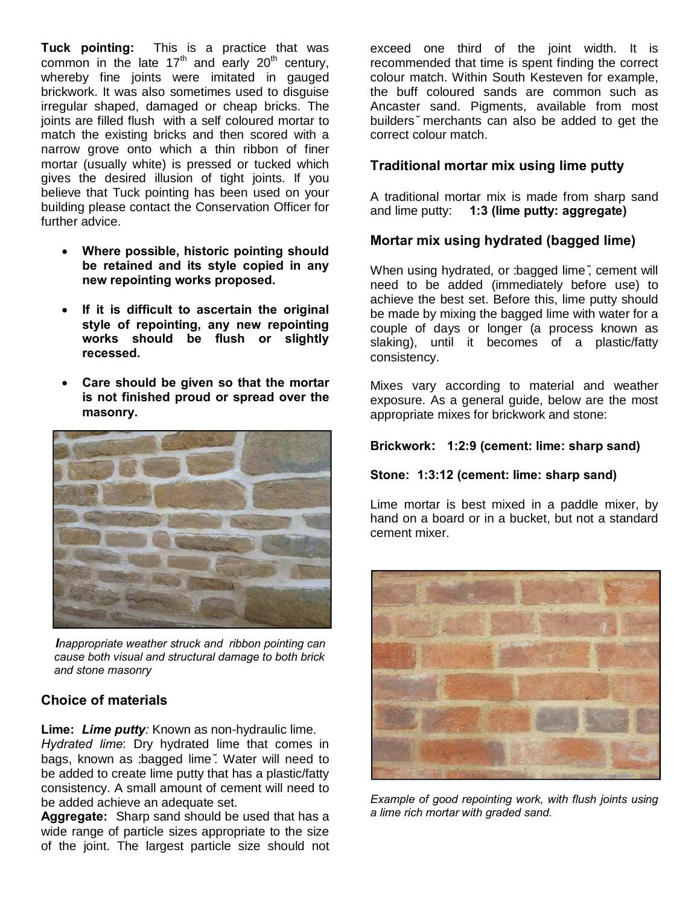**Tuck pointing:** This is a practice that was common in the late  $17<sup>th</sup>$  and early  $20<sup>th</sup>$  century, whereby fine joints were imitated in gauged brickwork. It was also sometimes used to disguise irregular shaped, damaged or cheap bricks. The joints are filled flush with a self coloured mortar to match the existing bricks and then scored with a narrow grove onto which a thin ribbon of finer mortar (usually white) is pressed or tucked which gives the desired illusion of tight joints. If you believe that Tuck pointing has been used on your building please contact the Conservation Officer for further advice.

- · **Where possible, historic pointing should be retained and its style copied in any new repointing works proposed.**
- · **If it is difficult to ascertain the original style of repointing, any new repointing works should be flush or slightly recessed.**
- · **Care should be given so that the mortar is not finished proud or spread over the masonry.**



 *Inappropriate weather struck and ribbon pointing can cause both visual and structural damage to both brick and stone masonry* 

# **Choice of materials**

**Lime:** *Lime putty:* Known as non-hydraulic lime.

*Hydrated lime*: Dry hydrated lime that comes in bags, known as 'bagged lime'. Water will need to be added to create lime putty that has a plastic/fatty consistency. A small amount of cement will need to be added achieve an adequate set.

**Aggregate:** Sharp sand should be used that has a wide range of particle sizes appropriate to the size of the joint. The largest particle size should not

exceed one third of the joint width. It is recommended that time is spent finding the correct colour match. Within South Kesteven for example, the buff coloured sands are common such as Ancaster sand. Pigments, available from most builders' merchants can also be added to get the correct colour match.

# **Traditional mortar mix using lime putty**

A traditional mortar mix is made from sharp sand and lime putty: **1:3 (lime putty: aggregate)**

# **Mortar mix using hydrated (bagged lime)**

When using hydrated, or : bagged lime, cement will need to be added (immediately before use) to achieve the best set. Before this, lime putty should be made by mixing the bagged lime with water for a couple of days or longer (a process known as slaking), until it becomes of a plastic/fatty consistency.

Mixes vary according to material and weather exposure. As a general guide, below are the most appropriate mixes for brickwork and stone:

## **Brickwork: 1:2:9 (cement: lime: sharp sand)**

#### **Stone: 1:3:12 (cement: lime: sharp sand)**

Lime mortar is best mixed in a paddle mixer, by hand on a board or in a bucket, but not a standard cement mixer.



*Example of good repointing work, with flush joints using a lime rich mortar with graded sand.*